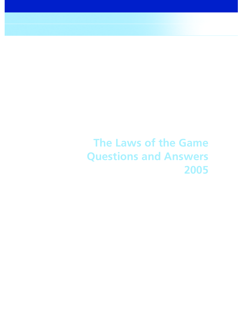**The Laws of the Game Questions and Answers 2005**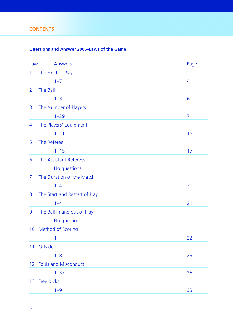# **CONTENTS**

# **Questions and Answer 2005–Laws of the Game**

| Law          | <b>Answers</b>                | Page           |
|--------------|-------------------------------|----------------|
| $\mathbf{1}$ | The Field of Play             |                |
|              | $1 - 7$                       | $\overline{4}$ |
| 2            | The Ball                      |                |
|              | $1 - 3$                       | 6              |
| 3            | The Number of Players         |                |
|              | $1 - 29$                      | 7              |
| 4            | The Players' Equipment        |                |
|              | $1 - 11$                      | 15             |
| 5            | The Referee                   |                |
|              | $1 - 15$                      | 17             |
| 6            | The Assistant Referees        |                |
|              | No questions                  |                |
| 7            | The Duration of the Match     |                |
|              | $1 - 4$                       | 20             |
| 8            | The Start and Restart of Play |                |
|              | $1 - 4$                       | 21             |
| 9            | The Ball In and out of Play   |                |
|              | No questions                  |                |
| 10           | Method of Scoring             |                |
|              | 1                             | 22             |
| 11           | Offside                       |                |
|              | $1 - 8$                       | 23             |
| 12           | <b>Fouls and Misconduct</b>   |                |
|              | $1 - 37$                      | 25             |
|              | 13 Free Kicks                 |                |
|              | $1 - 9$                       | 33             |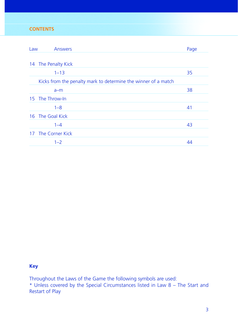# **CONTENTS**

| Law                 | <b>Answers</b>                                                 | Page |
|---------------------|----------------------------------------------------------------|------|
|                     |                                                                |      |
| 14 The Penalty Kick |                                                                |      |
|                     | $1 - 13$                                                       | 35   |
|                     | Kicks from the penalty mark to determine the winner of a match |      |
|                     | $a-m$                                                          | 38   |
| 15 The Throw-In     |                                                                |      |
|                     | $1 - 8$                                                        | 41   |
| 16 The Goal Kick    |                                                                |      |
|                     | $1 - 4$                                                        | 43   |
| 17 The Corner Kick  |                                                                |      |
|                     | $1 - 2$                                                        | 44   |

## **Key**

Throughout the Laws of the Game the following symbols are used:

\* Unless covered by the Special Circumstances listed in Law 8 – The Start and Restart of Play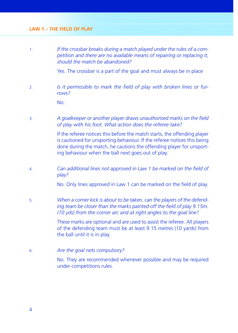1. *If the crossbar breaks during a match played under the rules of a competition and there are no available means of repairing or replacing it, should the match be abandoned?*

Yes. The crossbar is a part of the goal and must always be in place

2. *Is it permissible to mark the field of play with broken lines or furrows?*

No.

3. *A goalkeeper or another player draws unauthorised marks on the fi eld of play with his foot. What action does the referee take?*

> If the referee notices this before the match starts, the offending player is cautioned for unsporting behaviour. If the referee notices this being done during the match, he cautions the offending player for unsporting behaviour when the ball next goes out of play.

4. *Can additional lines not approved in Law 1 be marked on the field of play?*

No. Only lines approved in Law 1 can be marked on the field of play.

5. *When a corner kick is about to be taken, can the players of the defend*ing team be closer than the marks painted off the field of play 9.15m. *(10 yds) from the corner arc and at right angles to the goal line?*

> These marks are optional and are used to assist the referee. All players of the defending team must be at least 9.15 metres (10 yards) from the ball until it is in play.

6. *Are the goal nets compulsory?*

 No. They are recommended whenever possible and may be required under competitions rules.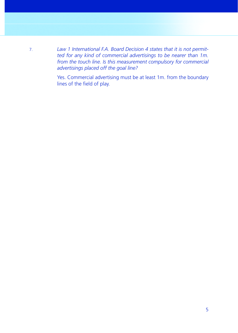7. *Law 1 International F.A. Board Decision 4 states that it is not permitted for any kind of commercial advertisings to be nearer than 1m. from the touch line. Is this measurement compulsory for commercial advertisings placed off the goal line?*

> Yes. Commercial advertising must be at least 1m. from the boundary lines of the field of play.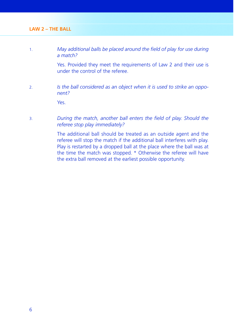1. *May additional balls be placed around the field of play for use during a match?*

> Yes. Provided they meet the requirements of Law 2 and their use is under the control of the referee.

2. *Is the ball considered as an object when it is used to strike an opponent?*

Yes.

3. *During the match, another ball enters the fi eld of play. Should the referee stop play immediately?*

> The additional ball should be treated as an outside agent and the referee will stop the match if the additional ball interferes with play. Play is restarted by a dropped ball at the place where the ball was at the time the match was stopped. \* Otherwise the referee will have the extra ball removed at the earliest possible opportunity.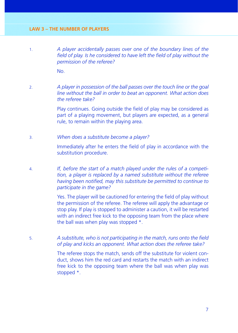1. *A player accidentally passes over one of the boundary lines of the field of play. Is he considered to have left the field of play without the permission of the referee?*

No.

2. *A player in possession of the ball passes over the touch line or the goal line without the ball in order to beat an opponent. What action does the referee take?*

> Play continues. Going outside the field of play may be considered as part of a playing movement, but players are expected, as a general rule, to remain within the playing area.

3. *When does a substitute become a player?*

Immediately after he enters the field of play in accordance with the substitution procedure.

4. *If, before the start of a match played under the rules of a competition, a player is replaced by a named substitute without the referee*  having been notified, may this substitute be permitted to continue to *participate in the game?*

> Yes. The player will be cautioned for entering the field of play without the permission of the referee. The referee will apply the advantage or stop play. If play is stopped to administer a caution, it will be restarted with an indirect free kick to the opposing team from the place where the ball was when play was stopped \*.

5. **A** substitute, who is not participating in the match, runs onto the field *of play and kicks an opponent. What action does the referee take?*

> The referee stops the match, sends off the substitute for violent conduct, shows him the red card and restarts the match with an indirect free kick to the opposing team where the ball was when play was stopped \*.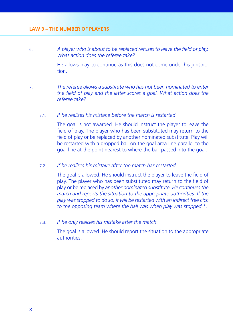6. *A player who is about to be replaced refuses to leave the fi eld of play. What action does the referee take?*

> He allows play to continue as this does not come under his jurisdiction.

7. *The referee allows a substitute who has not been nominated to enter the field of play and the latter scores a goal. What action does the referee take?*

### 7.1. *If he realises his mistake before the match is restarted*

 The goal is not awarded. He should instruct the player to leave the field of play. The player who has been substituted may return to the field of play or be replaced by another nominated substitute. Play will be restarted with a dropped ball on the goal area line parallel to the goal line at the point nearest to where the ball passed into the goal.

### 7.2. *If he realises his mistake after the match has restarted*

The goal is allowed. He should instruct the player to leave the field of play. The player who has been substituted may return to the field of play or be replaced by *another nominated substitute. He continues the match and reports the situation to the appropriate authorities. If the play was stopped to do so, it will be restarted with an indirect free kick to the opposing team where the ball was when play was stopped \*.*

#### 7.3. *If he only realises his mistake after the match*

 The goal is allowed. He should report the situation to the appropriate authorities.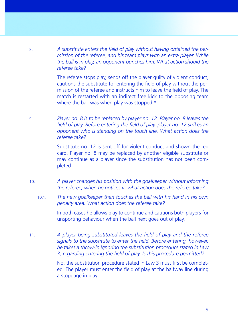8. *A substitute enters the fi eld of play without having obtained the permission of the referee, and his team plays with an extra player. While the ball is in play, an opponent punches him. What action should the referee take?*

> The referee stops play, sends off the player guilty of violent conduct, cautions the substitute for entering the field of play without the permission of the referee and instructs him to leave the field of play. The match is restarted with an indirect free kick to the opposing team where the ball was when play was stopped  $*$ .

9. *Player no. 8 is to be replaced by player no. 12. Player no. 8 leaves the field of play. Before entering the field of play, player no. 12 strikes an opponent who is standing on the touch line. What action does the referee take?*

> Substitute no. 12 is sent off for violent conduct and shown the red card. Player no. 8 may be replaced by another eligible substitute or may continue as a player since the substitution has not been completed.

- 10. *A player changes his position with the goalkeeper without informing the referee, when he notices it, what action does the referee take?* 
	- 10.1. *The new goalkeeper then touches the ball with his hand in his own penalty area. What action does the referee take?*

 In both cases he allows play to continue and cautions both players for unsporting behaviour when the ball next goes out of play.

11. *A player being substituted leaves the field of play and the referee* signals to the substitute to enter the field. Before entering, however, *he takes a throw-in ignoring the substitution procedure stated in Law*  3, regarding entering the field of play. Is this procedure permitted?

> No, the substitution procedure stated in Law 3 must first be completed. The player must enter the field of play at the halfway line during a stoppage in play.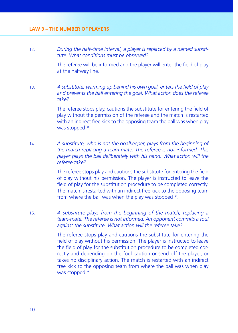12. *During the half–time interval, a player is replaced by a named substitute. What conditions must be observed?*

> The referee will be informed and the player will enter the field of play at the halfway line.

13. *A substitute, warming up behind his own goal, enters the field of play and prevents the ball entering the goal. What action does the referee take?*

> The referee stops play, cautions the substitute for entering the field of play without the permission of the referee and the match is restarted with an indirect free kick to the opposing team the ball was when play was stopped \*.

14. *A substitute, who is not the goalkeeper, plays from the beginning of the match replacing a team-mate. The referee is not informed. This player plays the ball deliberately with his hand. What action will the referee take?*

> The referee stops play and cautions the substitute for entering the field of play without his permission. The player is instructed to leave the field of play for the substitution procedure to be completed correctly. The match is restarted with an indirect free kick to the opposing team from where the ball was when the play was stopped \*.

15. *A substitute plays from the beginning of the match, replacing a team-mate. The referee is not informed. An opponent commits a foul against the substitute. What action will the referee take?*

> The referee stops play and cautions the substitute for entering the field of play without his permission. The player is instructed to leave the field of play for the substitution procedure to be completed correctly and depending on the foul caution or send off the player, or takes no disciplinary action. The match is restarted with an indirect free kick to the opposing team from where the ball was when play was stopped \*.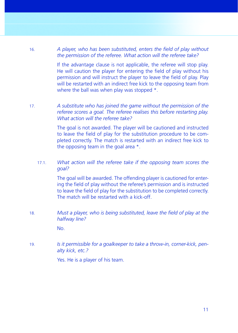16. *A player, who has been substituted, enters the field of play without the permission of the referee. What action will the referee take?*

> If the advantage clause is not applicable, the referee will stop play. He will caution the player for entering the field of play without his permission and will instruct the player to leave the field of play. Play will be restarted with an indirect free kick to the opposing team from where the ball was when play was stopped  $*$ .

17. *A substitute who has joined the game without the permission of the referee scores a goal. The referee realises this before restarting play. What action will the referee take?*

> The goal is not awarded. The player will be cautioned and instructed to leave the field of play for the substitution procedure to be completed correctly. The match is restarted with an indirect free kick to the opposing team in the goal area \*.

## 17.1. *What action will the referee take if the opposing team scores the goal?*

 The goal will be awarded. The offending player is cautioned for entering the field of play without the referee's permission and is instructed to leave the field of play for the substitution to be completed correctly. The match will be restarted with a kick-off.

18. *Must a player, who is being substituted, leave the field of play at the halfway line?*

No.

19. *Is it permissible for a goalkeeper to take a throw-in, corner-kick, penalty kick, etc.?*

Yes. He is a player of his team.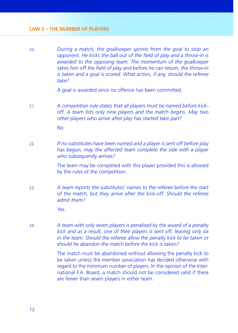20. *During a match, the goalkeeper sprints from the goal to stop an opponent. He kicks the ball out of the field of play and a throw-in is awarded to the opposing team. The momentum of the goalkeeper*  takes him off the field of play and before he can return, the throw-in *is taken and a goal is scored. What action, if any, should the referee take?*

A goal is awarded since no offence has been committed.

- 21. *A competition rule states that all players must be named before kickoff. A team lists only nine players and the match begins. May two other players who arrive after play has started take part?* No.
- 22. *If no substitutes have been named and a player is sent off before play has begun, may the affected team complete the side with a player who subsequently arrives?*

 The team may be completed with this player provided this is allowed by the rules of the competition.

23. *A team reports the substitutes' names to the referee before the start of the match, but they arrive after the kick-off. Should the referee admit them?*

Yes.

24. *A team with only seven players is penalised by the award of a penalty kick and as a result, one of their players is sent off, leaving only six in the team. Should the referee allow the penalty kick to be taken or should he abandon the match before the kick is taken?*

> The match must be abandoned without allowing the penalty kick to be taken unless the member association has decided otherwise with regard to the minimum number of players. In the opinion of the International F.A. Board, a match should not be considered valid if there are fewer than seven players in either team.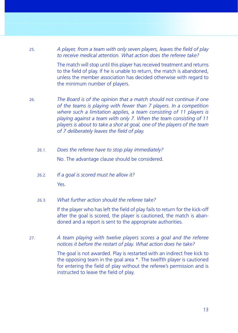25. *A player, from a team with only seven players, leaves the field of play to receive medical attention. What action does the referee take?*

> The match will stop until this player has received treatment and returns to the field of play. If he is unable to return, the match is abandoned. unless the member association has decided otherwise with regard to the minimum number of players.

26. *The Board is of the opinion that a match should not continue if one of the teams is playing with fewer than 7 players. In a competition where such a limitation applies, a team consisting of 11 players is playing against a team with only 7. When the team consisting of 11 players is about to take a shot at goal, one of the players of the team*  of 7 deliberately leaves the field of play.

- 26.1. *Does the referee have to stop play immediately?* No. The advantage clause should be considered.
- 26.2. *If a goal is scored must he allow it?* Yes.

### 26.3. *What further action should the referee take?*

If the player who has left the field of play fails to return for the kick-off after the goal is scored, the player is cautioned, the match is abandoned and a report is sent to the appropriate authorities.

27. *A team playing with twelve players scores a goal and the referee notices it before the restart of play. What action does he take?*

> The goal is not awarded. Play is restarted with an indirect free kick to the opposing team in the goal area \*. The twelfth player is cautioned for entering the field of play without the referee's permission and is instructed to leave the field of play.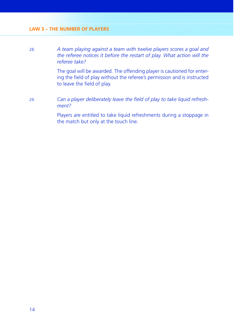28. *A team playing against a team with twelve players scores a goal and the referee notices it before the restart of play. What action will the referee take?*

> The goal will be awarded. The offending player is cautioned for entering the field of play without the referee's permission and is instructed to leave the field of play.

29. *Can a player deliberately leave the fi eld of play to take liquid refreshment?*

> Players are entitled to take liquid refreshments during a stoppage in the match but only at the touch line.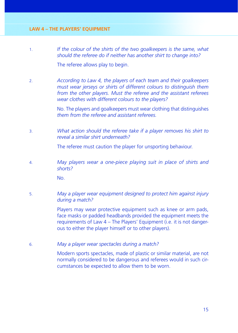- 1. *If the colour of the shirts of the two goalkeepers is the same, what should the referee do if neither has another shirt to change into?* The referee allows play to begin.
- 2. *According to Law 4, the players of each team and their goalkeepers must wear jerseys or shirts of different colours to distinguish them from the other players. Must the referee and the assistant referees wear clothes with different colours to the players?*

 No. The players and goalkeepers must wear clothing that distinguishes *them from the referee and assistant referees.*

3. *What action should the referee take if a player removes his shirt to reveal a similar shirt underneath?*

The referee must caution the player for unsporting behaviour.

4. *May players wear a one-piece playing suit in place of shirts and shorts?*

No.

5. *May a player wear equipment designed to protect him against injury during a match?*

> Players may wear protective equipment such as knee or arm pads. face masks or padded headbands provided the equipment meets the requirements of Law 4 – The Players' Equipment (i.e. it is not dangerous to either the player himself or to other players).

6. *May a player wear spectacles during a match?*

 Modern sports spectacles, made of plastic or similar material, are not normally considered to be dangerous and referees would in such circumstances be expected to allow them to be worn.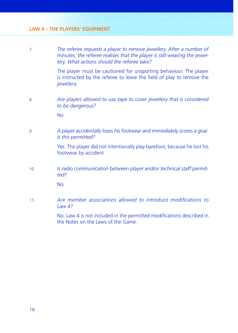7. *The referee requests a player to remove jewellery. After a number of minutes, the referee realises that the player is still wearing the jewellery. What actions should the referee take?*

> The player must be cautioned for unsporting behaviour. The player is instructed by the referee to leave the field of play to remove the iewellery.

8. *Are players allowed to use tape to cover jewellery that is considered to be dangerous?*

No.

9. *A player accidentally loses his footwear and immediately scores a goal. Is this permitted?*

> Yes. The player did not intentionally play barefoot, because he lost his footwear by accident.

10. *Is radio communication between player and/or technical staff permitted?*

No.

11 **Are member associations allowed to introduce modifications to** *Law 4?*

> No. Law 4 is not included in the permitted modifications described in the Notes on the Laws of the Game.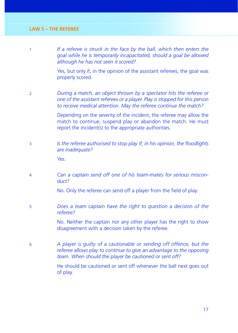1. *If a referee is struck in the face by the ball, which then enters the goal while he is temporarily incapacitated, should a goal be allowed although he has not seen it scored?*

> Yes, but only if, in the opinion of the assistant referees, the goal was properly scored.

2. *During a match, an object thrown by a spectator hits the referee or one of the assistant referees or a player. Play is stopped for this person to receive medical attention. May the referee continue the match?*

> Depending on the severity of the incident, the referee may allow the match to continue, suspend play or abandon the match. He must report the incident(s) to the appropriate authorities.

3. *Is the referee authorised to stop play if, in his opinion, the floodlights are inadequate?*

Yes.

4. *Can a captain send off one of his team-mates for serious misconduct?*

No. Only the referee can send off a player from the field of play.

5. *Does a team captain have the right to question a decision of the referee?*

> No. Neither the captain nor any other player has the right to show disagreement with a decision taken by the referee.

6. *A player is guilty of a cautionable or sending off offence, but the referee allows play to continue to give an advantage to the opposing team. When should the player be cautioned or sent off?*

> He should be cautioned or sent off whenever the ball next goes out of play.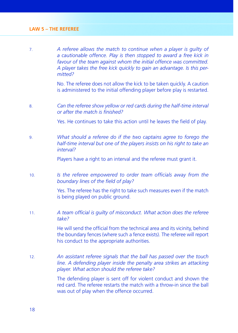7. *A referee allows the match to continue when a player is guilty of a cautionable offence. Play is then stopped to award a free kick in favour of the team against whom the initial offence was committed. A player takes the free kick quickly to gain an advantage. Is this permitted?*

> No. The referee does not allow the kick to be taken quickly. A caution is administered to the initial offending player before play is restarted.

8. *Can the referee show yellow or red cards during the half-time interval <u>or after the match is finished?</u>* 

Yes. He continues to take this action until he leaves the field of play.

9. *What should a referee do if the two captains agree to forego the half-time interval but one of the players insists on his right to take an interval?*

Players have a right to an interval and the referee must grant it.

10. **In** *Is the referee empowered to order team officials away from the* boundary lines of the field of play?

> Yes. The referee has the right to take such measures even if the match is being played on public ground.

11. *A team official is quilty of misconduct. What action does the referee take?*

> He will send the official from the technical area and its vicinity, behind the boundary fences (where such a fence exists). The referee will report his conduct to the appropriate authorities.

12. *An assistant referee signals that the ball has passed over the touch line. A defending player inside the penalty area strikes an attacking player. What action should the referee take?*

> The defending player is sent off for violent conduct and shown the red card. The referee restarts the match with a throw-in since the ball was out of play when the offence occurred.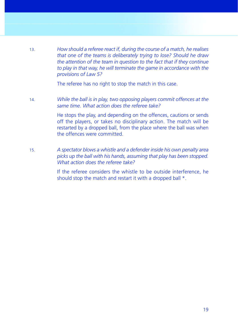13. *How should a referee react if, during the course of a match, he realises that one of the teams is deliberately trying to lose? Should he draw the attention of the team in question to the fact that if they continue to play in that way, he will terminate the game in accordance with the provisions of Law 5?*

The referee has no right to stop the match in this case.

14. *While the ball is in play, two opposing players commit offences at the same time. What action does the referee take?*

> He stops the play, and depending on the offences, cautions or sends off the players, or takes no disciplinary action. The match will be restarted by a dropped ball, from the place where the ball was when the offences were committed.

15. *A spectator blows a whistle and a defender inside his own penalty area picks up the ball with his hands, assuming that play has been stopped. What action does the referee take?*

> If the referee considers the whistle to be outside interference, he should stop the match and restart it with a dropped ball  $*$ .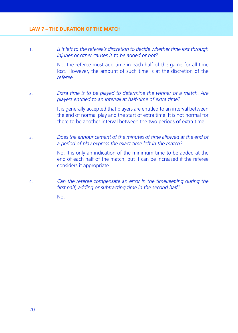1. *Is it left to the referee's discretion to decide whether time lost through injuries or other causes is to be added or not?*

> No, the referee must add time in each half of the game for all time lost. However, the amount of such time is at the discretion of the *referee.*

2. *Extra time is to be played to determine the winner of a match. Are players entitled to an interval at half-time of extra time?*

> It is generally accepted that players are entitled to an interval between the end of normal play and the start of extra time. It is not normal for there to be another interval between the two periods of extra time.

3. *Does the announcement of the minutes of time allowed at the end of a period of play express the exact time left in the match?*

> No. It is only an indication of the minimum time to be added at the end of each half of the match, but it can be increased if the referee considers it appropriate.

4. *Can the referee compensate an error in the timekeeping during the*  first half, adding or subtracting time in the second half?

No.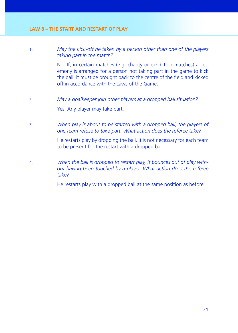1. *May the kick-off be taken by a person other than one of the players taking part in the match?*

> No. If, in certain matches (e.g. charity or exhibition matches) a ceremony is arranged for a person not taking part in the game to kick the ball, it must be brought back to the centre of the field and kicked off in accordance with the Laws of the Game.

- 2. *May a goalkeeper join other players at a dropped ball situation?* Yes. Any player may take part.
- 3. *When play is about to be started with a dropped ball, the players of one team refuse to take part. What action does the referee take?*

 He restarts play by dropping the ball. It is not necessary for each team to be present for the restart with a dropped ball.

4. *When the ball is dropped to restart play, it bounces out of play without having been touched by a player. What action does the referee take?*

He restarts play with a dropped ball at the same position as before.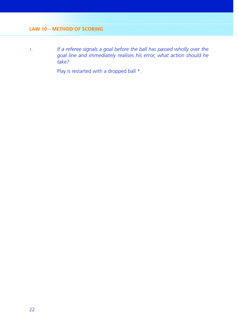1. *If a referee signals a goal before the ball has passed wholly over the goal line and immediately realises his error, what action should he take?*

Play is restarted with a dropped ball \*.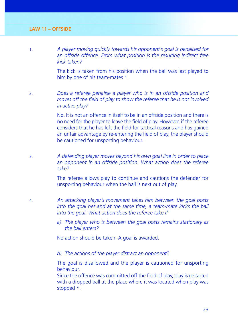1. *A player moving quickly towards his opponent's goal is penalised for an offside offence. From what position is the resulting indirect free kick taken?*

> The kick is taken from his position when the ball was last played to him by one of his team-mates \*.

2. *Does a referee penalise a player who is in an offside position and*  moves off the field of play to show the referee that he is not involved *in active play?*

> No. It is not an offence in itself to be in an offside position and there is no need for the player to leave the field of play. However, if the referee considers that he has left the field for tactical reasons and has gained an unfair advantage by re-entering the field of play, the player should be cautioned for unsporting behaviour.

3. *A defending player moves beyond his own goal line in order to place an opponent in an offside position. What action does the referee take?*

> The referee allows play to continue and cautions the defender for unsporting behaviour when the ball is next out of play.

- 4. *An attacking player's movement takes him between the goal posts into the goal net and at the same time, a team-mate kicks the ball into the goal. What action does the referee take if*
	- *a) The player who is between the goal posts remains stationary as the ball enters?*

No action should be taken. A goal is awarded.

*b) The actions of the player distract an opponent?*

 The goal is disallowed and the player is cautioned for unsporting behaviour.

Since the offence was committed off the field of play, play is restarted with a dropped ball at the place where it was located when play was stopped \*.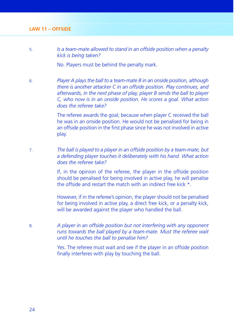5. *Is a team-mate allowed to stand in an offside position when a penalty kick is being taken?*

No. Players must be behind the penalty mark.

6. *Player A plays the ball to a team-mate B in an onside position, although there is another attacker C in an offside position. Play continues, and afterwards, in the next phase of play, player B sends the ball to player C, who now is in an onside position. He scores a goal. What action does the referee take?*

> The referee awards the goal; because when player C received the ball he was in an onside position. He would not be penalised for being in an offside position in the first phase since he was not involved in active play.

7. *The ball is played to a player in an offside position by a team-mate, but a defending player touches it deliberately with his hand. What action does the referee take?*

> If, in the opinion of the referee, the player in the offside position should be penalised for being involved in active play, he will penalise the offside and restart the match with an indirect free kick \*.

> However, if in the referee's opinion, the player should not be penalised for being involved in active play, a direct free kick, or a penalty kick, will be awarded against the player who handled the ball.

8. *A player in an offside position but not interfering with any opponent runs towards the ball played by a team-mate. Must the referee wait until he touches the ball to penalise him?*

> Yes. The referee must wait and see if the player in an offside position finally interferes with play by touching the ball.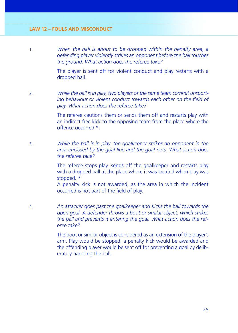1. *When the ball is about to be dropped within the penalty area, a defending player violently strikes an opponent before the ball touches the ground. What action does the referee take?*

> The player is sent off for violent conduct and play restarts with a dropped ball.

2. *While the ball is in play, two players of the same team commit unsporting behaviour or violent conduct towards each other on the field of play. What action does the referee take?*

> The referee cautions them or sends them off and restarts play with an indirect free kick to the opposing team from the place where the offence occurred \*.

3. *While the ball is in play, the goalkeeper strikes an opponent in the area enclosed by the goal line and the goal nets. What action does the referee take?*

> The referee stops play, sends off the goalkeeper and restarts play with a dropped ball at the place where it was located when play was stopped. \*

> A penalty kick is not awarded, as the area in which the incident occurred is not part of the field of play.

4. *An attacker goes past the goalkeeper and kicks the ball towards the open goal. A defender throws a boot or similar object, which strikes the ball and prevents it entering the goal. What action does the referee take?*

> The boot or similar object is considered as an extension of the player's arm. Play would be stopped, a penalty kick would be awarded and the offending player would be sent off for preventing a goal by deliberately handling the ball.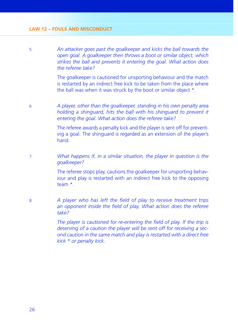#### **LAW 12 – FOULS AND MISCONDUCT**

5. *An attacker goes past the goalkeeper and kicks the ball towards the open goal. A goalkeeper then throws a boot or similar object, which strikes the ball and prevents it entering the goal. What action does the referee take?*

> The goalkeeper is cautioned for unsporting behaviour and the match is restarted by an indirect free kick to be taken from the place where the ball was when it was struck by the boot or similar object \*.

6. *A player, other than the goalkeeper, standing in his own penalty area holding a shinguard, hits the ball with his shinguard to prevent it entering the goal. What action does the referee take?*

> The referee awards a penalty kick and the player is sent off for preventing a goal. The shinguard is regarded as an extension of the player's hand.

7. *What happens if, in a similar situation, the player in question is the goalkeeper?*

> The referee stops play, cautions the goalkeeper for unsporting behaviour and play is restarted with an indirect free kick to the opposing team \*.

8. *A player who has left the field of play to receive treatment trips* an opponent inside the field of play. What action does the referee *take?*

> *The player is cautioned for re-entering the field of play. If the trip is deserving of a caution the player will be sent off for receiving a second caution in the same match and play is restarted with a direct free kick \* or penalty kick.*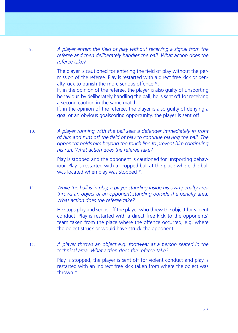9. *A player enters the fi eld of play without receiving a signal from the referee and then deliberately handles the ball. What action does the referee take?*

> The player is cautioned for entering the field of play without the permission of the referee. Play is restarted with a direct free kick or penalty kick to punish the more serious offence \*.

> If, in the opinion of the referee, the player is also guilty of unsporting behaviour, by deliberately handling the ball, he is sent off for receiving a second caution in the same match.

> If, in the opinion of the referee, the player is also guilty of denying a goal or an obvious goalscoring opportunity, the player is sent off.

10. *A player running with the ball sees a defender immediately in front*  of him and runs off the field of play to continue playing the ball. The *opponent holds him beyond the touch line to prevent him continuing his run. What action does the referee take?*

> Play is stopped and the opponent is cautioned for unsporting behaviour. Play is restarted with a dropped ball at the place where the ball was located when play was stopped \*.

11. *While the ball is in play, a player standing inside his own penalty area throws an object at an opponent standing outside the penalty area. What action does the referee take?*

> He stops play and sends off the player who threw the object for violent conduct. Play is restarted with a direct free kick to the opponents' team taken from the place where the offence occurred, e.g. where the object struck or would have struck the opponent.

12. *A player throws an object e.g. footwear at a person seated in the technical area. What action does the referee take?*

> Play is stopped, the player is sent off for violent conduct and play is restarted with an indirect free kick taken from where the object was thrown \*.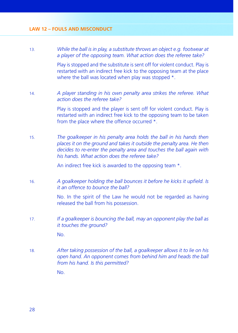13. *While the ball is in play, a substitute throws an object e.g. footwear at a player of the opposing team. What action does the referee take?*

> Play is stopped and the substitute is sent off for violent conduct. Play is restarted with an indirect free kick to the opposing team at the place where the ball was located when play was stopped  $*$ .

14. *A player standing in his own penalty area strikes the referee. What action does the referee take?*

> Play is stopped and the player is sent off for violent conduct. Play is restarted with an indirect free kick to the opposing team to be taken from the place where the offence occurred \*.

15. *The goalkeeper in his penalty area holds the ball in his hands then places it on the ground and takes it outside the penalty area. He then decides to re-enter the penalty area and touches the ball again with his hands. What action does the referee take?*

An indirect free kick is awarded to the opposing team  $*$ .

16. *A goalkeeper holding the ball bounces it before he kicks it upfield. Is it an offence to bounce the ball?*

> No. In the spirit of the Law he would not be regarded as having released the ball from his possession.

17. *If a goalkeeper is bouncing the ball, may an opponent play the ball as it touches the ground?*

No.

18. *After taking possession of the ball, a goalkeeper allows it to lie on his open hand. An opponent comes from behind him and heads the ball from his hand. Is this permitted?*

No.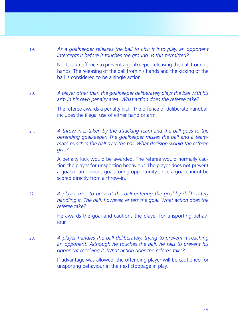- 19. *As a goalkeeper releases the ball to kick it into play, an opponent intercepts it before it touches the ground. Is this permitted?* No. It is an offence to prevent a goalkeeper releasing the ball from his hands. The releasing of the ball from his hands and the kicking of the ball is considered to be a single action. 20. *A player other than the goalkeeper deliberately plays the ball with his arm in his own penalty area. What action does the referee take?* The referee awards a penalty kick. The offence of deliberate handball includes the illegal use of either hand or arm. 21. *A throw-in is taken by the attacking team and the ball goes to the defending goalkeeper. The goalkeeper misses the ball and a teammate punches the ball over the bar. What decision would the referee give?* A penalty kick would be awarded. The referee would normally caution the player for unsporting behaviour. The player does not prevent a goal or an obvious goalscoring opportunity since a goal cannot be scored directly from a throw-in. 22. *A player tries to prevent the ball entering the goal by deliberately*
- *handling it. The ball, however, enters the goal. What action does the referee take?*

 He awards the goal and cautions the player for unsporting behaviour.

23. *A player handles the ball deliberately, trying to prevent it reaching an opponent. Although he touches the ball, he fails to prevent his opponent receiving it. What action does the referee take?*

> If advantage was allowed, the offending player will be cautioned for unsporting behaviour in the next stoppage in play.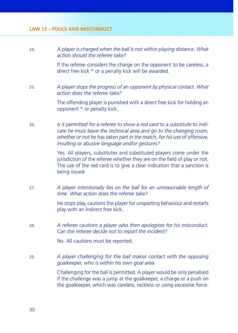### **LAW 12 – FOULS AND MISCONDUCT**

24. *A player is charged when the ball is not within playing distance. What action should the referee take?* If the referee considers the charge on the opponent to be careless, a

direct free kick \* or a penalty kick will be awarded.

25. *A player stops the progress of an opponent by physical contact. What action does the referee take?*

> The offending player is punished with a direct free kick for holding an opponent \* or penalty kick.

26. *Is it permitted for a referee to show a red card to a substitute to indicate he must leave the technical area and go to the changing room,*  whether or not he has taken part in the match, for his use of offensive. *insulting or abusive language and/or gestures?*

> Yes. All players, substitutes and substituted players come under the jurisdiction of the referee whether they are on the field of play or not. The use of the red card is to give a clear indication that a sanction is being issued.

27. *A player intentionally lies on the ball for an unreasonable length of time. What action does the referee take?*

> He stops play, cautions the player for unsporting behaviour and restarts play with an indirect free kick.

28. *A referee cautions a player who then apologises for his misconduct. Can the referee decide not to report the incident?*

No. All cautions must be reported.

29. *A player challenging for the ball makes contact with the opposing goalkeeper, who is within his own goal area.*

> Challenging for the ball is permitted. A player would be only penalised if the challenge was a jump at the goalkeeper, a charge or a push on the goalkeeper, which was careless, reckless or using excessive force.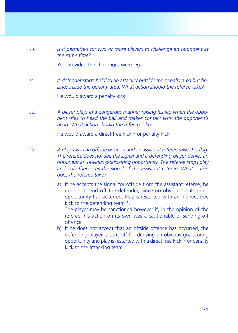30. *Is it permitted for two or more players to challenge an opponent at the same time?*

Yes, provided the challenges were legal.

31. *A defender starts holding an attacker outside the penalty area but finishes inside the penalty area. What action should the referee take?*

He would award a penalty kick.

32. *A player plays in a dangerous manner raising his leg when the opponent tries to head the ball and makes contact with the opponent's head. What action should the referee take?*

He would award a direct free kick \* or penalty kick.

- 33. *A player is in an offside position and an assistant referee raises his flag. The referee does not see the signal and a defending player denies an opponent an obvious goalscoring opportunity. The referee stops play*  and only then sees the signal of the assistant referee. What action *does the referee take?*
	- a) If he accepts the signal for offside from the assistant referee, he does not send off the defender, since no obvious goalscoring opportunity has occurred. Play is restarted with an indirect free kick to the defending team \*.

 The player may be sanctioned however if, in the opinion of the referee, his action on its own was a cautionable or sending-off offence.

b) If he does not accept that an offside offence has occurred, the defending player is sent off for denying an obvious goalscoring opportunity and play is restarted with a direct free kick \* or penalty kick to the attacking team.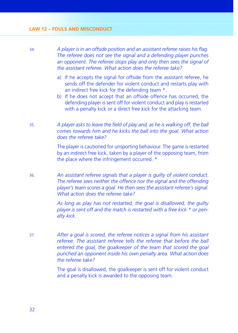#### **LAW 12 – FOULS AND MISCONDUCT**

34. *A player is in an offside position and an assistant referee raises his fl ag. The referee does not see the signal and a defending player punches an opponent. The referee stops play and only then sees the signal of the assistant referee. What action does the referee take?*

- a) If he accepts the signal for offside from the assistant referee, he sends off the defender for violent conduct and restarts play with an indirect free kick for the defending team \*.
- b) If he does not accept that an offside offence has occurred, the defending player is sent off for violent conduct and play is restarted with a penalty kick or a direct free kick for the attacking team.
- 35. *A player asks to leave the fi eld of play and, as he is walking off, the ball comes towards him and he kicks the ball into the goal. What action does the referee take?*

 The player is cautioned for unsporting behaviour. The game is restarted by an indirect free kick, taken by a player of the opposing team, from the place where the infringement occurred. \*

36. *An assistant referee signals that a player is guilty of violent conduct. The referee sees neither the offence nor the signal and the offending player's team scores a goal. He then sees the assistant referee's signal. What action does the referee take?*

> *As long as play has not restarted, the goal is disallowed, the guilty player is sent off and the match is restarted with a free kick \* or penalty kick.*

37. *After a goal is scored, the referee notices a signal from his assistant referee. The assistant referee tells the referee that before the ball entered the goal, the goalkeeper of the team that scored the goal punched an opponent inside his own penalty area. What action does the referee take?*

> The goal is disallowed, the goalkeeper is sent off for violent conduct and a penalty kick is awarded to the opposing team.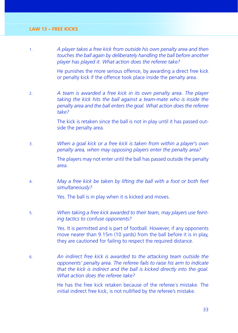1. *A player takes a free kick from outside his own penalty area and then touches the ball again by deliberately handling the ball before another player has played it. What action does the referee take?*

> He punishes the more serious offence, by awarding a direct free kick or penalty kick if the offence took place inside the penalty area.

2. *A team is awarded a free kick in its own penalty area. The player taking the kick hits the ball against a team-mate who is inside the penalty area and the ball enters the goal. What action does the referee take?*

> The kick is retaken since the ball is not in play until it has passed outside the penalty area.

3. *When a goal kick or a free kick is taken from within a player's own penalty area, when may opposing players enter the penalty area?* 

> The players may not enter until the ball has passed outside the penalty area.

4. *May a free kick be taken by lifting the ball with a foot or both feet simultaneously?*

Yes. The ball is in play when it is kicked and moves.

5. *When taking a free kick awarded to their team, may players use feinting tactics to confuse opponents?*

> Yes. It is permitted and is part of football. However, if any opponents move nearer than 9.15m (10 yards) from the ball before it is in play, they are cautioned for failing to respect the required distance.

6. *An indirect free kick is awarded to the attacking team outside the opponents' penalty area. The referee fails to raise his arm to indicate that the kick is indirect and the ball is kicked directly into the goal. What action does the referee take?*

> He has the free kick retaken because of the referee´s mistake. The initial indirect free kick, is not nullified by the referee's mistake.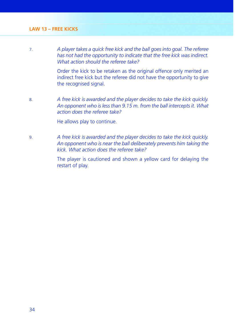7. *A player takes a quick free kick and the ball goes into goal. The referee has not had the opportunity to indicate that the free kick was indirect. What action should the referee take?*

> Order the kick to be retaken as the original offence only merited an indirect free kick but the referee did not have the opportunity to give the recognised signal.

8. *A free kick is awarded and the player decides to take the kick quickly. An opponent who is less than 9.15 m. from the ball intercepts it. What action does the referee take?*

He allows play to continue.

9. *A free kick is awarded and the player decides to take the kick quickly. An opponent who is near the ball deliberately prevents him taking the kick. What action does the referee take?*

> The player is cautioned and shown a yellow card for delaying the restart of play.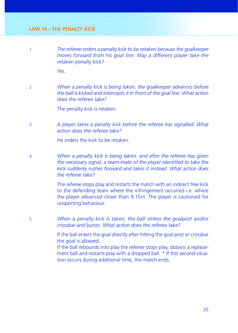1. *The referee orders a penalty kick to be retaken because the goalkeeper moves forward from his goal line. May a different player take the retaken penalty kick?*

Yes.

2. *When a penalty kick is being taken, the goalkeeper advances before the ball is kicked and intercepts it in front of the goal line. What action does the referee take?*

The penalty kick is retaken.

3. *A player takes a penalty kick before the referee has signalled. What action does the referee take?*

He orders the kick to be retaken.

4. *When a penalty kick is being taken, and after the referee has given*  the necessary signal, a team-mate of the player identified to take the *kick suddenly rushes forward and takes it instead. What action does the referee take?*

> The referee stops play and restarts the match with an indirect free kick to the defending team where the infringement occurred i.e. where the player advanced closer than 9.15m. The player is cautioned for unsporting behaviour.

5. *When a penalty kick is taken, the ball strikes the goalpost and/or crossbar and bursts. What action does the referee take?*

> If the ball enters the goal directly after hitting the goal post or crossbar the goal is allowed.

> If the ball rebounds into play the referee stops play, obtains a replacement ball and restarts play with a dropped ball. \* If this second situation occurs during additional time, the match ends.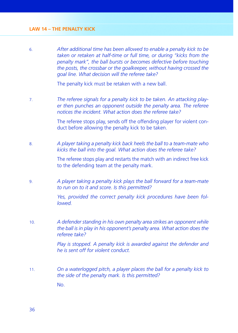#### **LAW 14 – THE PENALTY KICK**

6. *After additional time has been allowed to enable a penalty kick to be taken or retaken at half-time or full time, or during "kicks from the penalty mark", the ball bursts or becomes defective before touching the posts, the crossbar or the goalkeeper, without having crossed the goal line. What decision will the referee take?*

The penalty kick must be retaken with a new ball.

7. *The referee signals for a penalty kick to be taken. An attacking player then punches an opponent outside the penalty area. The referee notices the incident. What action does the referee take?*

> The referee stops play, sends off the offending player for violent conduct before allowing the penalty kick to be taken.

8. *A player taking a penalty kick back heels the ball to a team-mate who kicks the ball into the goal. What action does the referee take?*

> The referee stops play and restarts the match with an indirect free kick to the defending team at the penalty mark.

9. *A player taking a penalty kick plays the ball forward for a team-mate to run on to it and score. Is this permitted?*

> *Yes, provided the correct penalty kick procedures have been followed.*

10. *A defender standing in his own penalty area strikes an opponent while the ball is in play in his opponent's penalty area. What action does the referee take?*

> *Play is stopped. A penalty kick is awarded against the defender and he is sent off for violent conduct.*

11. *On a waterlogged pitch, a player places the ball for a penalty kick to the side of the penalty mark. Is this permitted?*

No.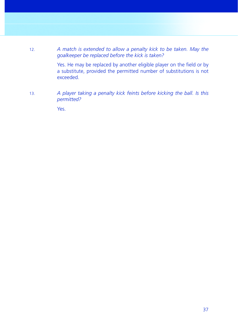12. *A match is extended to allow a penalty kick to be taken. May the goalkeeper be replaced before the kick is taken?*

> Yes. He may be replaced by another eligible player on the field or by a substitute, provided the permitted number of substitutions is not exceeded.

13. *A player taking a penalty kick feints before kicking the ball. Is this permitted?*

Yes.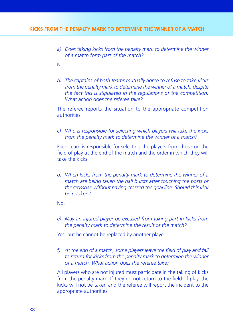*a) Does taking kicks from the penalty mark to determine the winner of a match form part of the match?*

No.

*b) The captains of both teams mutually agree to refuse to take kicks from the penalty mark to determine the winner of a match, despite the fact this is stipulated in the regulations of the competition. What action does the referee take?*

 The referee reports the situation to the appropriate competition authorities.

*c) Who is responsible for selecting which players will take the kicks from the penalty mark to determine the winner of a match?*

 Each team is responsible for selecting the players from those on the field of play at the end of the match and the order in which they will take the kicks.

*d) When kicks from the penalty mark to determine the winner of a match are being taken the ball bursts after touching the posts or the crossbar, without having crossed the goal line. Should this kick be retaken?*

No.

*e) May an injured player be excused from taking part in kicks from the penalty mark to determine the result of the match?*

Yes, but he cannot be replaced by another player.

f) At the end of a match, some players leave the field of play and fail *to return for kicks from the penalty mark to determine the winner of a match. What action does the referee take?*

 All players who are not injured must participate in the taking of kicks from the penalty mark. If they do not return to the field of play, the kicks will not be taken and the referee will report the incident to the appropriate authorities.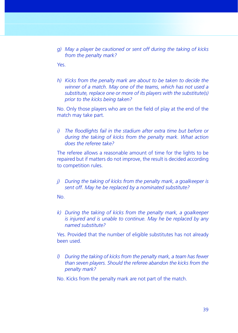*g) May a player be cautioned or sent off during the taking of kicks from the penalty mark?*

Yes.

*h) Kicks from the penalty mark are about to be taken to decide the winner of a match. May one of the teams, which has not used a substitute, replace one or more of its players with the substitute(s) prior to the kicks being taken?*

No. Only those players who are on the field of play at the end of the match may take part.

*i*) The floodlights fail in the stadium after extra time but before or *during the taking of kicks from the penalty mark. What action does the referee take?*

 The referee allows a reasonable amount of time for the lights to be repaired but if matters do not improve, the result is decided according to competition rules.

*j) During the taking of kicks from the penalty mark, a goalkeeper is sent off. May he be replaced by a nominated substitute?*

No.

*k) During the taking of kicks from the penalty mark, a goalkeeper is injured and is unable to continue. May he be replaced by any named substitute?*

 Yes. Provided that the number of eligible substitutes has not already been used.

- *l) During the taking of kicks from the penalty mark, a team has fewer than seven players. Should the referee abandon the kicks from the penalty mark?*
- No. Kicks from the penalty mark are not part of the match.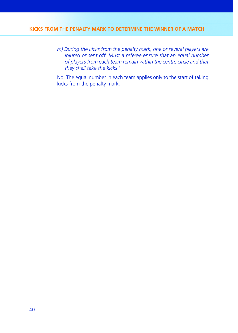### **KICKS FROM THE PENALTY MARK TO DETERMINE THE WINNER OF A MATCH**

*m) During the kicks from the penalty mark, one or several players are injured or sent off. Must a referee ensure that an equal number of players from each team remain within the centre circle and that they shall take the kicks?*

 No. The equal number in each team applies only to the start of taking kicks from the penalty mark.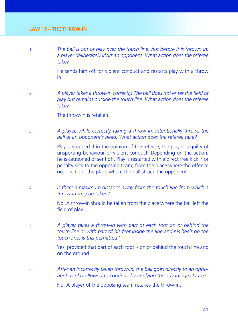1. *The ball is out of play over the touch line, but before it is thrown in, a player deliberately kicks an opponent. What action does the referee take?*

> He sends him off for violent conduct and restarts play with a throw in.

2. **A player takes a throw-in correctly. The ball does not enter the field of** *play but remains outside the touch line. What action does the referee take?*

The throw-in is retaken.

3. *A player, while correctly taking a throw-in, intentionally throws the ball at an opponent's head. What action does the referee take?*

> Play is stopped if in the opinion of the referee, the player is guilty of unsporting behaviour or violent conduct. Depending on the action, he is cautioned or sent off. Play is restarted with a direct free kick \* or penalty kick to the opposing team, from the place where the offence occurred, i.e. the place where the ball struck the opponent.

4. *Is there a maximum distance away from the touch line from which a throw-in may be taken?*

> No. A throw-in should be taken from the place where the ball left the field of play.

5. *A player takes a throw-in with part of each foot on or behind the touch line or with part of his feet inside the line and his heels on the touch line. Is this permitted?*

> Yes, provided that part of each foot is on or behind the touch line and on the ground.

6. *After an incorrectly taken throw-in, the ball goes directly to an opponent. Is play allowed to continue by applying the advantage clause?*

No. A player of the opposing team retakes the throw-in.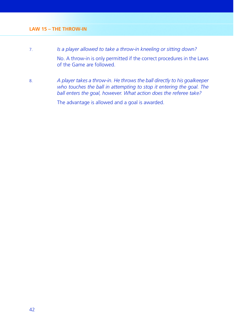- 7. *Is a player allowed to take a throw-in kneeling or sitting down?* No. A throw-in is only permitted if the correct procedures in the Laws of the Game are followed.
- 8. *A player takes a throw-in. He throws the ball directly to his goalkeeper who touches the ball in attempting to stop it entering the goal. The ball enters the goal, however. What action does the referee take?*

The advantage is allowed and a goal is awarded.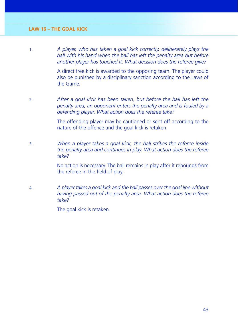1. *A player, who has taken a goal kick correctly, deliberately plays the ball with his hand when the ball has left the penalty area but before another player has touched it. What decision does the referee give?*

> A direct free kick is awarded to the opposing team. The player could also be punished by a disciplinary sanction according to the Laws of the Game.

2. *After a goal kick has been taken, but before the ball has left the penalty area, an opponent enters the penalty area and is fouled by a defending player. What action does the referee take?*

> The offending player may be cautioned or sent off according to the nature of the offence and the goal kick is retaken.

3. *When a player takes a goal kick, the ball strikes the referee inside the penalty area and continues in play. What action does the referee take?*

> No action is necessary. The ball remains in play after it rebounds from the referee in the field of play.

4. *A player takes a goal kick and the ball passes over the goal line without having passed out of the penalty area. What action does the referee take?*

The goal kick is retaken.